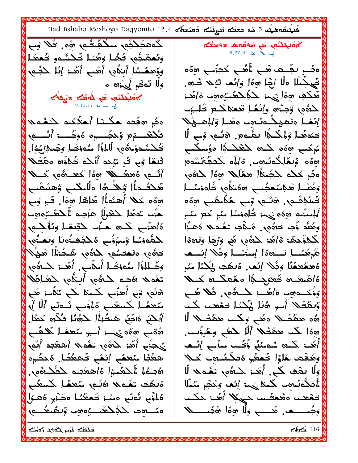Had Bshabo Meshoyo Daqyomto 12.4 مَسْتَعْلَمَ A.Shabo Meshoyo Daqyomto 12.4 مَسْتَعْلَمَ بَسْتَ تَعْبُثُ بَسْت گەھكٖڭمە سڭگٖى*دُ*ى ۋە. ئُىلا رْب  $\sum_{n=0}^{\infty} \frac{1}{n^2} \sum_{n=0}^{\infty} \sum_{n=0}^{\infty} \frac{1}{n^2} \sum_{n=0}^{\infty} \frac{1}{n^2} \sum_{n=0}^{\infty} \frac{1}{n^2} \sum_{n=0}^{\infty} \frac{1}{n^2} \sum_{n=0}^{\infty} \frac{1}{n^2} \sum_{n=0}^{\infty} \frac{1}{n^2} \sum_{n=0}^{\infty} \frac{1}{n^2} \sum_{n=0}^{\infty} \frac{1}{n^2} \sum_{n=0}^{\infty} \frac{1}{n^$ وَتَعْشَيْهِ قُهْا وَهُنَا قَكْسُو قَعْعُا ەكَبِ بِكَـِـمَا مَّــعِ نَأْهُــعِ يُحِبَّنَــعِ وَهُو وَوَهِهُمِنَا أَيَدْهِ أَهُبِ أَهُدَ إِنَا حَجَّمٍ نَّهِجُمُلَا هِ لَا رُجَا هِهُ! وَإِنُم تَبْدِ خُـه. وَلَّا نَحْشَى إِنَّ، \* \* مَكْلُفٍ 10\$ يَهِمْ لِمُكْلِمَةٍ مِنْ أَهْمٍ \$اهْدَ  $\sum_{i=1}^{n} \sum_{j=1}^{n} \sum_{j=1}^{n} \sum_{j=1}^{n} \sum_{j=1}^{n} \sum_{j=1}^{n} \sum_{j=1}^{n} \sum_{j=1}^{n} \sum_{j=1}^{n} \sum_{j=1}^{n} \sum_{j=1}^{n} \sum_{j=1}^{n} \sum_{j=1}^{n} \sum_{j=1}^{n} \sum_{j=1}^{n} \sum_{j=1}^{n} \sum_{j=1}^{n} \sum_{j=1}^{n} \sum_{j=1}^{n} \sum_{j=1}^{n} \sum_{j=1}^{n} \sum_{j=1}^{n}$ لِحَدُّهِ، وَجِبْرَه وَإِنَّهُمْ شَعْدَكُمْ ذَابَهْت هِجْمِ هِجَمِهِ مِكْتِسًا أَمْكَلُتُ لَحْقُوبُهِ إنْعُمَا وتَعْمِلُتْمِنُسُوبِ وهُمَا وْإِلِمِيهِْلَا حَمَّمُط وَّلِحُجَّا بِعُّـمِ هُنَّـمٍ وَجِي لَّا فَكْعْسَــْمِمْ وَجْجَــَـــِرِه هُوجُــــز أُنُــــمِ َكَكْسُّدَوِّمْوُهِ لَلْلِوُّا مُدَوْكُـل وَجْمِلاَئِكْرُلْ. يُبِكُبِ وَهَ لَكُ لَكُفْلَهُ الْمُعِينَةَ الْمُحَمَّلَةَ تَعْمَا فِي ثَمِ يُبْدِهِ ٱلْكُمْ ثُلِبْوُهِ مِمَّتْكَلا اھەَ وَبِمَالْحُدِيْسِي وْلَمْكَ لِكَجِفَاتِيْدُومِ هِجْرِ كَمْكُمْ حَجَّمَةُ الْحَمَلُكَ هِهُ كَشُومٍ وَهُنُــا هُدْمَـُـمجَّــــع «هَـَدْهِجْ خُاهْفِــُــا مَكْتُــماًا وَجْدُهُا هِلَّاـحْبِ وَهِنَـمَّب ههُه كَملاً أُهْتُماً المُعلَّط هِهُ اللَّهِ فِي الْمَجْمَعِينَ تَصُدُدُے, ہْنُے وَے هَٰذُمَکَے ہِ ہَ هنَّت عَمْدا لِحَقَولًا هَرْجِمَ لَمُحَقَّبَةِ وهت بَلْمِيَّةٍ وَوَدَّةٍ مِنْ شَاوَوْمِدًا مَدَّرٍ كَلَّامٍ لَّكُمْ مَدَّبِي هُ/هزَّىبِ لَكِــهِ حَــَّبَ حَجْبَهْـا وَتَأْلَكِــهِ وَهَٰلُه وَۢب حَرْثُومِ. ةَحِذْب تَعْـهِـلا ةَهــرَٰٓا لِكَفَوْسًا وَمِبْزُوْبٍ ۚ كَلِكَفِذُونَا وَتَعَذُّونَ كَجْوَّحْهُ: ٥/هُ: كَشُومٍ هُي وَرُّدًا وَنَصْهَا حَدُّهِ، وتَعتَشُم، حَدُّهِ، هَنْدُ;أَا شَهْلا هَبِهُنُسا نَسْمَهُ! إِسْنُسُلُ وَجُّلاً إِنْسَمَ وَجَالِمُوْا مِنُدوْخُا أَمِيَّابٍ. أُهُد كِلْمُوْي ەَھمَعمُنُا وَجَّلا إِنُم ۚ وَتَحْد لَكُنَا مَبْرِ تعُمد هَجه لحدةُه أَبِذُهِ لحفاجًلا ةاهَشت تَصْرَبِكُمُ مَعْمَلَــهِ كَـــلا شَفَعٍ وَجِ أَهْنُجِ لَكَمَنَا لَكَحَ تَلَمُّسَنَ شَجِ وُوَكِّسُوهِ وَأَهُسَوْ لِمَسْرَقُومٍ, ثَقَلا هُسَم مَعْصُلا كَسْعَّبِ هَٰذِي شَـٰمَىٰ ٱلْلَّ لَ أَوَّىكَتْݣَا أَجِي هُنَّا يُكْتَا حَقْعَتْ لَكْت ٱٱللَّـهِ ۚ وَاجۡنَہٖ ۖ هَـٰحُـٰٓ;ٓاُ ۖ لَـٰهُ نَا ۖ فَـُلۡم ۚ مَعۡنَا ۖ ، وَهِ مَحَمَّدُ اللَّهُ عَلَيْهِ مِكْسَدِ اللَّهُ الْمَالِكُمْ الْمَالِكُمْ الْمَالِكُمْ الْمَالِكُم هِهُمْ لَكُتْ هَهَٰتُكُمْ أَلَّا لَكُفٍّ وَهُوَّتُتٍ. مَعْهُمْ الْمُعَمَّدِ أُسِيرٌ مَعْمًا لَمْلَاقِب بُهِجَنَّهِ أَهَٰذٍ لَحَقَّهِ مَعْدَهُ الْمَعْدَمِ أَنَّهِمْ أُهَٰذِ كُنْ شُمْمَهُ وَّثَب مِلَّابٍ إِنْتَ هِهُدًا سَّعِمَّى إِنَّمَّى خُهِعُجًا. هَجَجَرِه وَهُقَفَ هَٰلَوْا خُعِفُو هُدِكْسُوفَ كَتَلَا وَلَا يقْفِ كَبِي أُهَّزَ حَدَّقُوبٍ يَعْدِيهِ لَهِ هُجِـهُا لِمُحْمَّـبِٓا هُ/هِعْجِـهِ حَجَّدُهُورٍ. ەُىھُبْ تْغُمْلا شْتَمْ مُعْمَا كَسْعُب لْمَدْ بِكَمْعَ مِعْلَا يَمِنَّ كَمَنْكُمْ سَعْمَاتُكُمْ مَمْثَلَا تكف ه تحفظ السلام المحمد المحمد المحمد كَبْنُو شُمَّى مِنْءَ خُمِعَنْـا مِجْنُو كَحَـوْل ەئسەدە تەككىكىسىكە بەر ئۇنىگىنىگ ت وَجَّـــــم، هَــــــــ وَلَا هِهُ! هُجَّــــــــلا

بحناأبلاء كالمخط سأله بحلفكة

 $\pi$ di $\leq 116$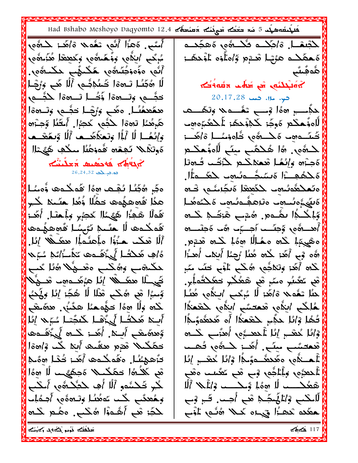Had Bshabo Meshoyo Daqyomto 12.4 مَسْتَعَلَّمَ 4.4°C Had Bshabo Meshoyo Daqyomto لَجْبُعْسَلَ ةَاصِّلْــهِ فَكَــوُّهِ ۚ وَهِجُمَــهِ أَمِنَى وَاهْزَا أَلَٰهٍ يَعْمَدُ وَأَهَدَ لِحَدُّهِ هُـعمَّـلـه هرُّيَـا هُــُبْع وَّاهَٰلُوْهِ لْمُؤْمَطَة مُ مَكْمَعٍ النَّامِ وَوَّحْمَدُهُ مِنْ وَكَنِيْهِا هُذَا هُمَّا مَحَمَّلِهِ ٱللَّهِ وَوَوَجُلُمَةُو ۚ وَقُلُمُ مِكْسَمَى الْمَسَوَّى ۖ وَأَوْقَائِهِ مِنْ الْمَرْضَاءِ ۖ وَلَا ي ۿؙڡڢۘ۫ٮٞۘؠ لًا هُجَنُـا تـهةا خُـنُجْجَــهِ ٱلْا هَٰــ وَرُجَــا بكافهف سامة ب مشكبكاه حَجَّـــم، وَتَـــــهةَا ذُخُـــا تَـــهةَا لِحَجَّـــم، حو. مال حيث 20,17,28 همُعمُنُـاً. ٥ﻫُــ وَرُجْـاً حَجُّــهِ وَتَـــ30أَ بْدَبُسِبِ 30\$ وْسَبِ تْغُسْمَىْ وْتْݣُسْمَ هُبِهُمُا نَوَهَا لِحَقِّي لَحِبُرا ۖ أَلْحَمُا وَجِبْرَهِ لْلُوزُهِكُمْ وَجِزَ كَجْزُحْهُمْ لِمُحْمَّدِهِ وَمِنْ تُصَيِّــــــوهِـــــــوهُ مِنْ حُلوفِيمُــــــل هَ/هُـــــز وَإِنُهُـا لَا ٱيلًا وَتَعَذَّقَنِــها ٱلْلاَ وَتَكَشَــها هُوتَكُلم نَهِمُه ۚ فُووَمُنُا سِكُفٍ هَيُدَال لِحْدُّەرِ. 1ْ هُجْهُبِ مِنَى لْاهْتُعْكَـْمْ Eintra composed AgelyR هَجِبْرَه وَإِنْعُمْ شَعْمَكُمْ لِأَزْكُبِ دُهِنْلَ كَحْمُهِـــْزَا كَسَنَجْـــونُنهب لِحْكَــوَلَٰٓالِ ەكْبِر شْكْتُلْ نُفْت ھەد قُدىگىمى ۋەسُل ەئملىئەئىھە للكىشا ةىجانئىم قىھ كَمْمَيْمُ مَسْتَدَامَ مِنْ الْمَحْمَدُ الْمَسْتَدَمُولَ هدُا قَمْعَهُمْ حَمُلًا ذُمُّا حَنَّىدٌ كُبِر ْفَولًا هَجْزًا هَيُّمُال كَجَرِْ. وَلَمِمْلًا. أُهَدَ وَٰٓالحُـٰۃُا نفُـٰءم فُـثَب هُنتُـٰۂ حُـٰد ْفُوكُوهَا لْا هِنَّىمْ نَرَّجِيْنَا قُوهِكِهُوهَا أَهْلُوْهِ وَجَنَّــب أَجَـــَزِب اللَّهَـ ذَجَنَــــــــه اْلًا مْكَــٰ هـزُوٗا م<sup>ِ</sup>أُهنَّـم<sup>ِّا</sup>ًا م<sub>َ</sub>عَـٰـفُ ۖ إِنَـٰا ۖ وشيءًا كَلَّهِ وَهْمَالًا هِوَا كَلَّهِ مَعْرَمٍ هُ/ڢ مَكْتُما أَيْ تَضَمِعَه تَكْسُرُاتُمْ سُبَكَ اثَّه فِي أَهَٰذٍ لَكُمْ هُمُّا رُحِمًا أَيْمَكَ أُهْدُاْ لَكُلُّ أَهُدْ وَلَٰٰٓكُمْ ﴾ وَهُكُمْ لَمْوَى حَلَّٰہِ مِّبْرِ لْمَكْتَمَى وَهُكْسٍ هِ مَعْلَمٌ لَهُ لَا كُتَبِ تُحِيِّسُلَا مِمَكِّنَةٌ }ِنَا هَزْمَكَــــــــوسِ مَّـــــوْيَةٌ َمْعِ مُعَْسُرِ مِمْ ِ هُوَ مُعَكَّبِرٍ حَعَكَتُمَلِّهِرٍ. وَّسبُرا هُم هُكُم هُلَّا لًا هُجَّ; إِنَّا وَلَكْبُ حلًا تَعْمَى \$اهُمْ لَّا يُرِكَبِ ابْتَاهِي هُنُـأ لَّكُلُّ وَلَا مِمَّا حَقَّ هُمَّا هَدَّسُ. هَلَّهُ هُمَّ المُعكَّم مِنْهَا سُمْحَمَّى مَنْهَا لَمَحْمَدُا أَسَمْ هَكْشًا أَيْنَقْطِ كَبَجْسًا سُبَكَ إِنَّا تُهُا وْاِنُا حِجْمِ حَعْمَدُا أَه مَّحْقُومُاْ وَهدهَ هْبِ أَبِنَا أَهُد: لَكُ الْمَيْزَهُ عَمَدَهِ وْاْمُا حُمْدِ إِمَّا تْمُحْصِبُّومِ أُهْنُوبِ كَلَّةِ أَهْمَعْشِبِ مِنِّعٍ. أُهُد: لَحْدُوهِ قُهْمَهِ حَصَّكُملا مْتَرْمِ مِنْقَمِي أَبْدَ كُبَّ وْاْرْهَا تزَههسُا. ەقُمكەھ أَهُد تُحْل 3هُلِمْ نْمَـــٰذُہ ٖ ہمُحجَّــہِ مِّــدُّ وَاللہ حُجَـــ ۚ إِنَّا هْمِ لَلْأَهُا حَمَّكُمْ هُجِعَّيُّمَا لَا هِهُا لْمَعْثِمِ وَلْمُتَمِّعٍ وَبِ هُي مَعْنَفٍ وَهْيَ هْعُكْــــــــهُ لَا هُمَّا وُجِكْــــــه وْاتْلَكْ أَلْمَا كُبِرٍ تُحْشُورٍ ٱلْلهُ أَڢ حْثَكْرُهُمِ ٱمْكُبِ وهُعنْسَم لَكَــا مُاهُنُـا وَلَـــ00ْ6) أَجـــهُـات لَّامْكَـــبِ وْالْمُمْكَــدِ قَنِي اُحِــدٍ. كَــرٍ وْب لْحَجّْ; شَعِ أَهُّدُوْا شَكْعٍ, مِصُّم لَّكُنَّهُ حفَكه بَعْشَا فَيْهَاه كَمِلا هُنَّهِ لِمُؤْمِنٍ تمشابهم كالمحرج سهو تتفلض  $\frac{117}{2}$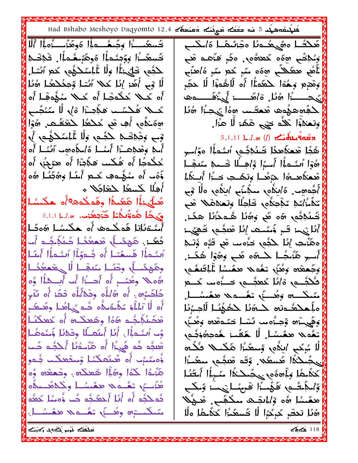Had Bshabo Meshoyo Daqyomto 12.4 مَسْتَعْلَمَ مَسْتَمَامَة Had Bshabo Meshoyo Daqyomto 12.4 مَسْتَعْلَمَ مَسْت تُصْبَعُبُ أَوْ وَجُمْعَـــمِلَا هَوِهَٰنُــــزُهِ الْمَلَا هَكْتُمَاهَ الْمَحْمَدُ وَالْمَسْتَمِرَةُ مِنْ الْمَحْمَدِ َّكُسِعَّىٰۥ ۖ وَوَجِئَـٰٓء) أَ وَهَ مُّـماً فَلَا ذَكِرْكُــدٍ وَمُكِلِّصٌ وَهُوَ كَعَدَقُومٍ. وَجُمْ قُنُوصُو هُبِ ِ لِحَبَّى خَلِّى:لَمَّا وَلَا غَلِمَكُهُو كَمَّ أَنْتَا. لَمُّل مَعَكَلاً وَوَّه مَّ كُم مَّ مَّ وَاهْبَع لًا مْحِي أُهَٰذِ إِنَّا كَلا ٱنْتَبَا وَجِخُلْعُنَا هُنَا وَهْدَمِ وَهُدَا كَعَدَلًا أَو لَّاهُمْوْا لَّا حَجَّمِ أَه حَــلا حُـحْدبْ أَه حَــلا مُـهْدِهْـا أَه يُجِبُّ أَنْ هَامًا. وْأَهَبْبَ أَيْخَفَّـــوها لَاهُ الْمِرَّ آهُ سَعْمَهُ هُمِهُ مِعْلَمَ كَـــلا فُـلْـسَـــ فَجَابَــْ;ا هَلَ لَا مَنْجُب وتعذروا لكله نجي هَمّز لًا مرّا. وَهَنَّفُو أَهِ ثَمَّ مُحْمَدُ حَمْدَهُم. وَوْا وْبِ وَجْدْتُــمْ حْجُــُم وَلَا غْلِمَـكُومُ مِ لَ 5.1.11 L./.๑ (/) สามันน์ส أَمِهِ وَهُدَاهِمْ أَمْمِلُ وَٱمْدَاهِ وَسَلَّمَ أَوْمَ َهُجُا مُعَكَّمَكُا خُسُجْجُمٍ ٱلنَّمَلُّا وَوَّاسِدٍ كَحْدَجُا أَه فُحَّمَت فَجَّدْا أَه مَرَّجْزُو أَه رَّةُوا رُبِّدُواْ أَسْرًا وُاهِلُّا خَسْمٍ مَنْبُهِ ا وَّەُ۔ أَه مُنْهُدِ كَـــم أَمْـُـا وَهُجَّـُـا هُه هْجَدُهِدهُ الْجَهُدَ وَتَهْدِ حَـزًا أَسَدًا أَهْلَا كَسِعُل حَمْلاَطٌ \* أَجْوَرُوا مِنْكُمْ مِنْكُسُوا وَلَا إِنَّاهِ وَلَا وُمِّ هَبِأَيْهَا هَٰهَٰدا وَهُدَدُه؟ أَهْ هَذَنَبَا تَذَّنَّزُائِكِ تَكْحِذُونَ خَاجِلًا وَتَعَدَّضَلا شَــ ى كَمْ هُوتُو هُمْ كَتَجِعْنُو. 1.1% 5.1.1 َّضُلُاجُمٍ ۞ه هُم وِهُلُّا هُـمحُزُلًا هكَـٰ; أَمْتَ مُلاَلا هُوجُده أَو هجْمِيْنَا وَوَجَا أَمُلْ يَهِمْ فَسَيْمًا إِمَّا هَدَشَمْ بِكُمْ شَيْءٍ مَنْ النَّامُ دُهَـٰ: مَهِنَــلٌ مَعمَٰدُ الَّـسُلَاجُــه أَب |ەھَنُىب إِنُا لِكَبُو، حَنُومب هُو كُبُوه وُلَـٰهِ ٱلنَّـٰٓءِۢٓأَا ۖ هَٰٮنُمَّتَـٰلٍ ۗ أَه ۖ فَـٰهَوۡاْ النَّـٰهِۚ أَلَّا ۖ أَنَّنَـٰلَ أُسبِ هَٰٓ;ُنجُــل كَـــهُ٥ هُـــ وِهُوۡٓا هُكَــٰ; ومَهْمَكُمْ وَحْبَاءَ مَعْدَاءَ الْمَحْمَدِينَ مِنْهَمَةٍ مِنْهَمَةٍ مِنْهَمَةٍ مِنْهِ مَنْهَمَةٍ مَ وَجَعِثُوهِ وَهُزًى تَعْمَدُ هَمْسُلُ أَلْمُ تَعْمَدُ دَّه مِلا وهُمَّةٍ أَه أَحِسَٰرًا أَبِّ أَيْسِكِمَاْ وَهِ أَ تَكْثَـــم وْامُا كَعثَـــم حَـــزُّوما كَــــع حَاحَبَرُه . أَه هَا مَا وَحْدَاً أَه تَحَدَ أَه تَآمِ سَمَعْلَـــــرَ وَهُــــــزَى تَعْـــــــم بِلا مِعْــَــمْــــل أَه لَا ٱلمَلَوْ حَذَّمَهُ هُ عَدِي اِمُعا وِمَّحْمَدِ وأحكعْـوتم كــوْنَا كعُهْنَـا لَاجِهْنَا تَعَصُّلُوجُــه 5% وتَعَعَدُ ۞ أَه كَعكَنُــا وَفِّيءٌ؟ وَجِـزُّه مِن تَسْلِ حَمَّـهِ هُدَ وَهُــزَى وً النُعار الله أَمْل أَعلَم الله وشَائل وَحدُمُك ثَقْدِيهِ مِنْقَسَالِ لَلْ هَٰقَيْ: هُدْدِهُ; ثُمِي هْبَهُمْ هُمْ فَيْءُا أَنْ هَٰٓ;ُنَـٰمُلُمْ أَيْكَـٰهُمْ هُـٰب لًا ـُبِكَـٰبِ ابِنَاهِ ۖ وَسِعْنُ;ا هَكَـٰـلا فَكُـٰهِ ؤْمِنْتُوبْ أَهْ هُتَفَكّْتُنَا وْسَقْعَكْتْ قُدْوِ أَيْ جُنْحَكُمَ الصَّحْمَةِ وَقَدْ شَعْبُوهِ مِنْقَسَةُ هَّزُمُّا لَكُمُّا وَهَٰٓإِما عَعْدَهِ. وَحْمَعُهِ وُهِ لَعٰذَا فَلِمُوسَنِ مِهْجَمِينَ مِعَهُمْ الْمُحَمَّلَ الْمَحَمَّلَ هُزَكَرٍ تِمُّدِيهِ مِمْسُلٍ وَكَلاَمُكُمْ وَكُمِيَّةٍ مِنْ الْمَوْمَةِ الْمَوْمَةِ مِنْكُمْ وَعَظِيَّةٍ مِنْكُمْ وَعَظِيَّةٍ مِنْكُمْ مِنْ مَ ثُمكِيُّه أَه أَنُا أَحمَدَيُّه حُب زُمسُا كَعنُه همُسُا ٥٥ وْالمِبْـد مْكَفِّحِ. شَـوْلًا مَكْتَبِرُهِ وَهُنَّى تَقْنُدُ مَقْسَلًا. هُنَا تَحْثَى كَبِكَيْرَا لَا ضَبِعَبْ ا كَنَفْجَا هِلَا

تلاءُ مام الله على الله من المسلم المسلم المسلم المسلم المسلم المسلم المسلم المسلم المسلم المسلم ال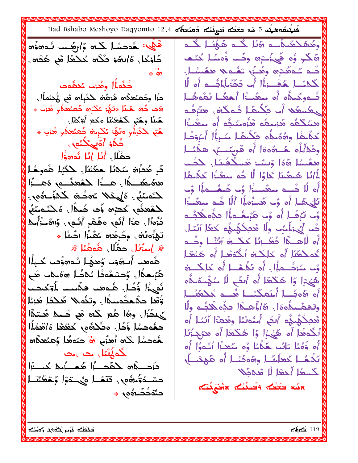| Had Bshabo Meshoyo Daqyomto 12.4 مَسْتَعْلَمَ مَسْتَمَامَة بَاسْتَ A Had Bshabo Meshoyo Daqyomto 12.4<br>ومَكَحْتَمَدَّت هَنَا كُنْ هُهُنَا كُنْ<br>قَطِيع: هُوَجِسًا كُلُّهِ وَ}رَبُّحِيبَ لَـُوهِوَهِ<br>ھَكُو وُه فَيْخَبْرَه وِحُبْ وُهِنُا كُنُفَ<br>كَافْكَا. ەُ/ىھَوْ ئَكُلُّه مُحْكَمًا مْعِ ھُدُه.<br>كُـه مُـهمُدْمِ وهُــزٌ، تَمُـهلا مِنْقَصَلًا.<br>$\bullet$ $\overline{\bullet}$<br>لكَمْنَــا هَفْــ زِلَٰا أَبِ دْخَزْبِلْلاِثْــه أَه لُل<br>كُثْمَلُّا وِهُـٰزَى كَنفُوت<br>ثَـوجَـٰدهُ أَو معكَــزُا أَحمكَــا تُقُومُــا<br>دَٰا وحُـمئعدْ۞ هُـٰٓ;هُ فَـٰهَـٰهُمْ هُـِ ـٰهُـِـدُه اُلْـِ.<br>هَتْ هُهُ هُناً مَنَهَّ: عَكْرُهُ هُمَنْعَمَّارٍ هُـُ: *<br>حَفْسِطَلا أَبِ دَكْتُمَا دُءِكْفٍ. مِنْتُوفُ<br>هَمِنُا وِهَبْ كَمْعَكْنْا هَكُمْ أَوْكُنَا.<br>هِمَكُمُّهِ هُزِيِيهُمْ هُزُومِيْيَةٍ أَوْ سِعْيَزًا<br>َهَّتِي لِكَبِلُرِ وَنَهَٰٓ: نَكْرِيهَ خَعَنُعَدُرِ هُـْتِ ﴾<br>كَكُنْهَا وَهُمَّدْهُ فَكُنْفَا سُبِياًا أُجَوْهُا<br>حُكُوْ أَيَّا بِهَنْكُمْ .<br>ودْمْأَلُمْ هُــْدُهُوهُ أَو فَرِبَعْــــِّي هِكْمُــٰلِ<br>َ حَمُلًا . أَبُلُ إِبَٰلَ ثَمِيو ُ ا<br>ھمَسُا 66 ۋىسُم: ھَسكَكَسَّا. كَحُبَ<br>كَرِ هَدُوْهُ مَكَمْلًا هَهَمْلًا. كَكَبْطُ هُوهُـلْ<br>لَّٰہُ لَا صَحْبَنَا جَاوُا لَّا خُو حِجَّيْزًا جَدَّىجًا<br>هدهُ حَمْد ــدُّا ــدَ هَهْدُـــــــــــــ وَ مَـــــزُا<br>أَهِ لَا حُـــدِ معكَنـــزُا وُبِ حُنفُــدِيدًا وُب<br>لْمُتَمَنِّعْ وَالْمَحْلَمَ مُتَحَدِّدَةَ لَكُمْؤُسَّتُوهِ .<br>تَايُحَطَ أَه وًَ مَحْدَّوَةًا ٱلَّا خُتَ مَعَنَّرًا<br>للقعدقُوم كَحرْه وَّد ضَلَّاً. هَلْدُومَنَّهُ<br>وًٰٮ تَرَكَـٰٓا أَه وًٰٮ هَٰٓ مُحَمِّدهٗا حذَٰ۪ه۞لَاثَـٰد<br>دُّوْهِ أَلْ مَوْلُ أَلْقَى هَفَضْرِ أَلْبَقِي. وَاهُ أَرْكُمْ<br>حَب أَيْ ذَائِب وِلَّا هُدِجِكُهُبِهُم حَمَدًا أَنْتِ لِ<br>لَهْزُهِ لَهُ . وحَرِهُه عَمَّدًا احَّمُّا *<br>أَه لُاهِــدًا دُهَّــ;بُّا كَكُــةِ ٱنْتْـا وِدُّــهِ<br><i>®</i> إمزُّنُا. حمُّلًا. هُوهُنَّا <i>®</i><br>تُدهِكْتُا أَو حُاجَةَ تُحْتَوْمَا أَو هَنْعْا<br>ِ هُـُمحب أَستَهْفٍ وَهجُـا شُـمِهوْتِـب كَــرِدَاً ا<br>أَوَّت مَنْزَشُــدِيًّا. أَو تَذُهَــا أَو خَالَكَـــة<br>هَّبُــعـدًا. وُحـتَـعُـهدًا مُــدَّـــا «هَــدَـــ شَــح<br><mark>﴾</mark> هَيْءَا وَا هَـتَـٰهَا أَه أَنتَـٰ لًا سُـهَّـتَـٰمُوهُ<br>نُعِيدًا وَّحُل. هُـ2هب فكلّمت لِمُقْتَب<br>لْهُ أَه هَوَجُـــا أَعتَمَكْـــا هُـــو حُكْضُــا<br>رُّهْا حكْمحُمىكا. وِتْنُم لا هَٰذكا هُزْمًا<br> وتَعصَّــدُّهَ) . ۞/إُهــدُّا حَذُّه حُلَّــُـم ولُّا<br>جُبْحُوا. وهَا هُم كُه مْع صْبِهِ مَنْهَا<br>إِ مُدِكِكُمِيْهِ ۗ اُنِّيَ أُمِنُدَنُنَا ۖ وَمُدِمَا أَنْنُـا ۖ أَه<br>حِمُّوصُا ذُكُل. وشُكْرُوم كَعْتَمْا وْاهْدُاْا<br>اْہُگُوھُل اُو ھَیُےُ اِمِّا ھَکُھُل اُو محَکِبَٰنُل<br>هُوصِمًا كُلُّه أَهْبَى ۖ وَ حَمْهُا وَعِنُعِدًاهِ<br>﴾ أَه ذَهُمُا مَانُب هَكُمُا وُه مَعَدُا أَشَهوُا أَه<br>گەڭگا. ھ. .ھ<br>لْأَلَّهُــا كَعَلِّنَـا وَهُوَنَــا أَو هَٰهِنَــلَ<br>دَوَدهُ مِنْ الْمُحَدُّلُ هُمْسَنُوْمٍ كَمِسْتَرَا<br>والكسعُا أَحمْا لَا مْحَاجُلا<br>حسْـهُوَّٰٮرُهُ٥﴾. دْتَعْـا ؈ُۣٚ؎ٓوۡا وۡعَمَّسُـا<br>مكنفركتاء مكنفشة مكالحت متاء<br>حثفحُكُمهُ ﴾ |
|---------------------------------------------------------------------------------------------------------------------------------------------------------------------------------------------------------------------------------------------------------------------------------------------------------------------------------------------------------------------------------------------------------------------------------------------------------------------------------------------------------------------------------------------------------------------------------------------------------------------------------------------------------------------------------------------------------------------------------------------------------------------------------------------------------------------------------------------------------------------------------------------------------------------------------------------------------------------------------------------------------------------------------------------------------------------------------------------------------------------------------------------------------------------------------------------------------------------------------------------------------------------------------------------------------------------------------------------------------------------------------------------------------------------------------------------------------------------------------------------------------------------------------------------------------------------------------------------------------------------------------------------------------------------------------------------------------------------------------------------------------------------------------------------------------------------------------------------------------------------------------------------------------------------------------------------------------------------------------------------------------------------------------------------------------------------------------------------------------------------------------------------------------------------------------------------------------------------------------------------------------------------------------------------------------------------------------------------------------------------------------------------------------------------------------------------------------------------------------------------------------------------------------------------------------------------------------------------------------------------------------------------------------------------------------------------------------------------------------------------------------------------------------------------------------------------------------------------------------------------------------------------------------------------------------------------------------------------------------------------------------------------------------------------------------|
|                                                                                                                                                                                                                                                                                                                                                                                                                                                                                                                                                                                                                                                                                                                                                                                                                                                                                                                                                                                                                                                                                                                                                                                                                                                                                                                                                                                                                                                                                                                                                                                                                                                                                                                                                                                                                                                                                                                                                                                                                                                                                                                                                                                                                                                                                                                                                                                                                                                                                                                                                                                                                                                                                                                                                                                                                                                                                                                                                                                                                                                         |

૱૱૱૱૱૱૱૱૱૱૱૱૱૱૱૱૱૱૱૱૱૱૱૱૱૱૱૱૱૱૱૱૱૱૱૱૱

سَنْبُسْ مَوْسِمٍ بَكْتَهَا بِمَجْرَسُكَ

 $\frac{1}{\pi 4\pi 6}$ 119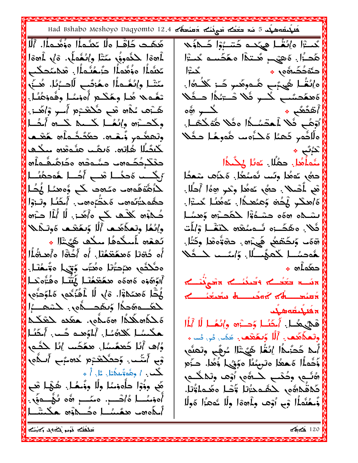Had Bshabo Meshoyo Daqyomto 12.4 مَسْتَعْلَمَ 4.4 Had Bshabo Meshoyo Daqyomto هَهَد حَاقَا ولَا عَثَمَلَا وَوُهُداْ. أَلَّا حَدًّا وَإِنْقَالَ فِيَحْدِ دَّسْبُوْا دَٰلاؤُلا أَ30 لَكُدُوفُ مَثْلًا وِإِنْغُدِيَّةٍ. قُلْ أَ30 أَ هَدُرًا. هَجِيَ هُتِمْ هُمَّكَسِهِ كَبْتَرَا مَحْثَم*أ*ا هؤُهُد*مأا* حَنَّمُثَـمأا. هُـٰهمَحكَـب حَدَّدُهُ وهُ وهُمْ مَسْرًا وَمِنْ الْمُسْرَارَ مَنْنَا وِإِنْغُـملَا مِعْزَمَٰبِ لَاصَرْنَا. هُـنَّى ەاِنْغُا ھُيْءَب ھُـەوھُىر كَـٰٓ كَلَّـٰهُا. ةَهمَّحسَّبِ كُـــرِ ثَلا تَـــتِنُمَّا حــقُلا تمُّدي مُرا وهَكُم أُوزِمُا وفُوزِمُلْلَ. هُــْوَم مُــْهُ هُــِ هُـُــْمْـَمِ أَسـو وْأَهُــز. اْتَعَمَّمَ \*<br>اُوْهُــ ثَلا اْحتَــُــدًا هفَلا هُـّفَـكْـهَــا. وكمسأه وإنعا كمله كلم أمصًا وتععنُمر وُسْدَه. حعَدُمْدُم أَنْ هَعْسَم ەلَّاخُەر كَھنُا ەَڪَرُەمە ھُەوھُـا ھـفُلا كْتِصَلّا هُالْتُه. ەُتمَّت ھنُوھُتُ مَنْكُتْ َّدْئِبُ \*<br>مُّملُمُل. حمُلًا. حَمُل لِكُـدُّا رَبَّــــــــــ مَحكُــــا هُــــا ــهُوحمُنُـــا حَقًّى عَمِعًا وَيُبِ ثَمِيعًا. هَجَرَها عَمْدًا مْعِ لَمْصَلًا . حمَّى عَمَٰدَ وَحَرِ مِهَا أَصَلًا . لْمُرْهَّفْقُومِ مَـُـْمَتْ لَكُمْ وُوَهِنُـلْ لُمِحَـٰل حَقَّقَدْتُوهَبْ مُحَدُّوهِ ﴾ [مُحَظُّرُ وتَنزَوْا ة/هكْبِ لْمُحَرَّة وَهِنْعِيجًا. غَمَعُنَا كَسْتَرَا. كُمْؤُهِ كُلْتُ لَكَ هُ هَذِ: لَا أَمْلَا حَنْهِ ىشىلاە «ەَە ھشىھُوّٓا كَلْمُصَرْ« وَهِسُل وإلعُا وتعكِّضَعا أَلَّا وَبِعَثْفِ وَوَتَدَكَلا ثُلا. ەھۡكَــ;ە ئــمىُـڠرە كَتَقَــا وۡ/لَمَت اقْهُمْ وُمَحْقَقِكُمْ فَيْ أَنْ دَاءَ وَّوْمَا وَكُتُلْ. ئَعْفُو أَسْتُوفًا سَنُّفَ هَيُنَّالُ \* أُه دُقَالَ هَجْمَعْجُبْلَ. أُه أَحُقْلَ هَ مَحْدَثُما هُوصُط كَعِهُكُلّ وَاسْت حَــفُلا ەڭلائىم ھۆجتۇلل ەھتە بۇقىل ەۋگىلار. း တုပ်တို့သ أَاوَّهُوَهِ وَهُوَهُ مَعْقَدُهُمْـ } لَنُتُمْ وَهُنُّوَيْهِ } بحسنة وشمال بحسن المستفق المستماء لِضَا هَمحْكاةَا. ۞ لَا لْمُؤَكِّدِ هَاوَجَنَّو بحسنة مستمرك المستمرين أَ \* فَتَحْتَشُهِ مَحْتَ هُكْمُ مُكْمُ المُهْدُورِ. حَقَدْهِ كَعْنَكُمْ فْحَيْ جَمَانِ أَحَصُّا وَحِبْرَهِ وِإِنْهُمَا لَا أَلَمَّا ِ هَكْسُلُ كَلاهُنَا. ٱلمُؤهد هُـب. ٱمْثَلُّلُ وَلَعَكُلُهُمْ وَلَأُلُمْ وَتَعَمَّلُهُمْ وَلَدَيْ وَلَيْ مِنْ مِنْ وَلِيَدِينَ مِنْ وُاف أَبَلَ حَمْعَسُلَ. مَعَجَب إِبْلِ حَدَّمٍ أَمِدْ حَدَّمْدًا اِنْقُا هَيْتَاا مُوَّى وَتَعشَى وْمِ أَمَنَّـبٍ. وَحَفَكَـٰهُـْمِ لَدُهِـنِّمِ أَسَلُّهِ ۖ وَّحُماً الْمَحْمَا وَيَّبِيْنَا وَوَيْ الْمُحَارِّ حَزَم لْكُمْ، { وِهُوَتُمَعَادًا، يَّا، { مِنْ هُلُبِي وِحُمْبِ لِمُسْرَهُورٍ ٱوْهَا وِلْللْأَسْمَرِ بَعْجِ وِذُوْا حَلَّٰہُ فِما وَلَا وِذِّـهُـا. هُهْـا شَح ضَفَهْوَهِ وَحَقَّـه مِنُوْلِ وَّصْلِ مَعْـمِلوُّثَا. أُهوَمُـــا هُ/حَــــرٍ. همَــــرٍ هُه نُؤْـــهوَٰى. وُّحِفُثُماْ أَوْمِي أَوْهَدٍ وِأَرْدَةًا وِلَا شَحَبًٰا دَوِلًا أبدأه ومع وسلم المستقار والمستقار تَحْلُقُكُمْ مُوَّمِرٍ بِمَاجَةٍ بِمَاهَمَكُمْ  $\pi$ ar $\leq$  120